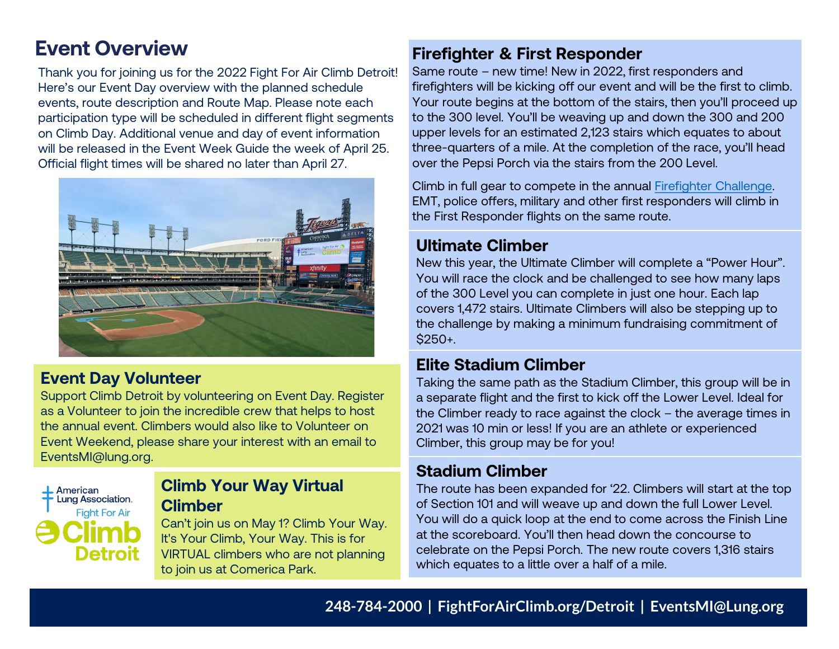Thank you for joining us for the 2022 Fight For Air Climb Detroit! Here's our Event Day overview with the planned schedule events, route description and Route Map. Please note each participation type will be scheduled in different flight segments on Climb Day. Additional venue and day of event information will be released in the Event Week Guide the week of April 25. Official flight times will be shared no later than April 27.



## **Event Day Volunteer**

Support Climb Detroit by volunteering on Event Day. Register as a Volunteer to join the incredible crew that helps to host the annual event. Climbers would also like to Volunteer on Event Weekend, please share your interest with an email to EventsMI@lung.org.



## **Climb Your Way Virtual Climber**

Can't join us on May 1? Climb Your Way. It's Your Climb, Your Way. This is for VIRTUAL climbers who are not planning to join us at Comerica Park.

# **Event Overview <b>Filter Event** Overview **Firefighter & First Responder**

Same route – new time! New in 2022, first responders and firefighters will be kicking off our event and will be the first to climb. Your route begins at the bottom of the stairs, then you'll proceed up to the 300 level. You'll be weaving up and down the 300 and 200 upper levels for an estimated 2,123 stairs which equates to about three-quarters of a mile. At the completion of the race, you'll head over the Pepsi Porch via the stairs from the 200 Level.

Climb in full gear to compete in the annual [Firefighter Challenge.](http://action.lung.org/site/DocServer/2022_Firefighter_Challenge_Detroit_Official_Rules_and_FA.pdf) EMT, police offers, military and other first responders will climb in the First Responder flights on the same route.

## **Ultimate Climber**

New this year, the Ultimate Climber will complete a "Power Hour". You will race the clock and be challenged to see how many laps of the 300 Level you can complete in just one hour. Each lap covers 1,472 stairs. Ultimate Climbers will also be stepping up to the challenge by making a minimum fundraising commitment of \$250+.

## **Elite Stadium Climber**

Taking the same path as the Stadium Climber, this group will be in a separate flight and the first to kick off the Lower Level. Ideal for the Climber ready to race against the clock – the average times in 2021 was 10 min or less! If you are an athlete or experienced Climber, this group may be for you!

### **Stadium Climber**

The route has been expanded for '22. Climbers will start at the top of Section 101 and will weave up and down the full Lower Level. You will do a quick loop at the end to come across the Finish Line at the scoreboard. You'll then head down the concourse to celebrate on the Pepsi Porch. The new route covers 1,316 stairs which equates to a little over a half of a mile.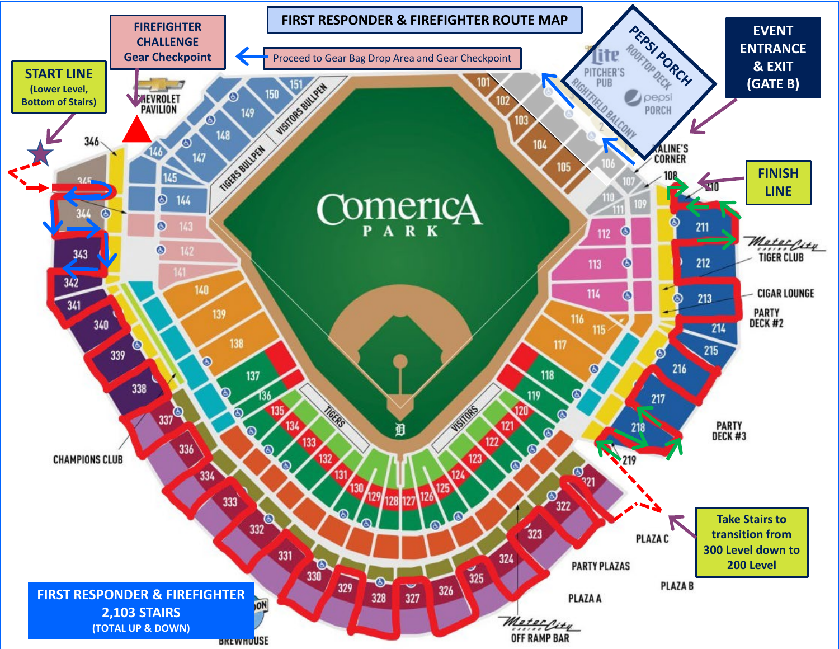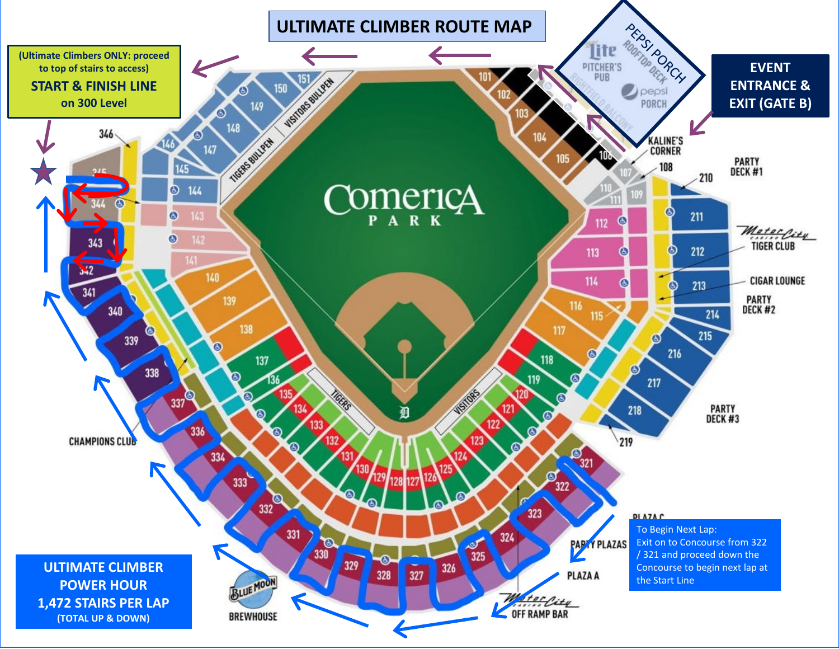